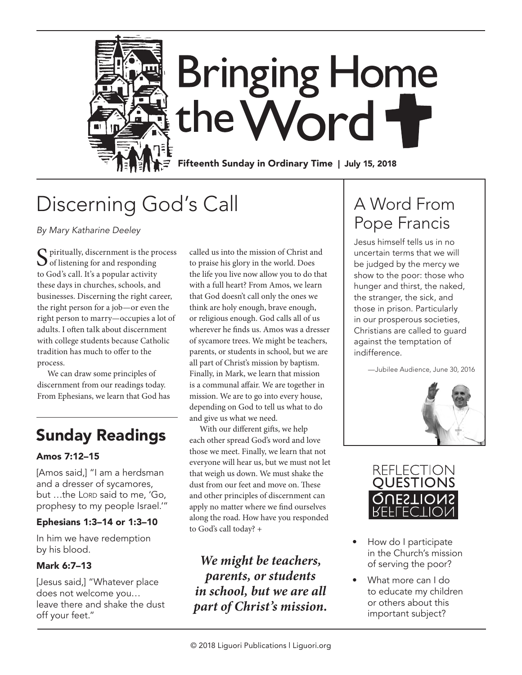

## Discerning God's Call

*By Mary Katharine Deeley*

 $\sum$  piritually, discernment is the process<br>of listening for and responding to God's call. It's a popular activity these days in churches, schools, and businesses. Discerning the right career, the right person for a job—or even the right person to marry—occupies a lot of adults. I often talk about discernment with college students because Catholic tradition has much to offer to the process.

We can draw some principles of discernment from our readings today. From Ephesians, we learn that God has

### Sunday Readings

### Amos 7:12–15

[Amos said,] "I am a herdsman and a dresser of sycamores, but ...the Lord said to me, 'Go, prophesy to my people Israel.'"

### Ephesians 1:3–14 or 1:3–10

In him we have redemption by his blood.

### Mark 6:7–13

[Jesus said,] "Whatever place does not welcome you… leave there and shake the dust off your feet."

called us into the mission of Christ and to praise his glory in the world. Does the life you live now allow you to do that with a full heart? From Amos, we learn that God doesn't call only the ones we think are holy enough, brave enough, or religious enough. God calls all of us wherever he finds us. Amos was a dresser of sycamore trees. We might be teachers, parents, or students in school, but we are all part of Christ's mission by baptism. Finally, in Mark, we learn that mission is a communal affair. We are together in mission. We are to go into every house, depending on God to tell us what to do and give us what we need.

With our different gifts, we help each other spread God's word and love those we meet. Finally, we learn that not everyone will hear us, but we must not let that weigh us down. We must shake the dust from our feet and move on. These and other principles of discernment can apply no matter where we find ourselves along the road. How have you responded to God's call today? +

*We might be teachers, parents, or students in school, but we are all part of Christ's mission.*

### A Word From Pope Francis

Jesus himself tells us in no uncertain terms that we will be judged by the mercy we show to the poor: those who hunger and thirst, the naked, the stranger, the sick, and those in prison. Particularly in our prosperous societies, Christians are called to guard against the temptation of indifference.

—Jubilee Audience, June 30, 2016





- How do I participate in the Church's mission of serving the poor?
- What more can I do to educate my children or others about this important subject?